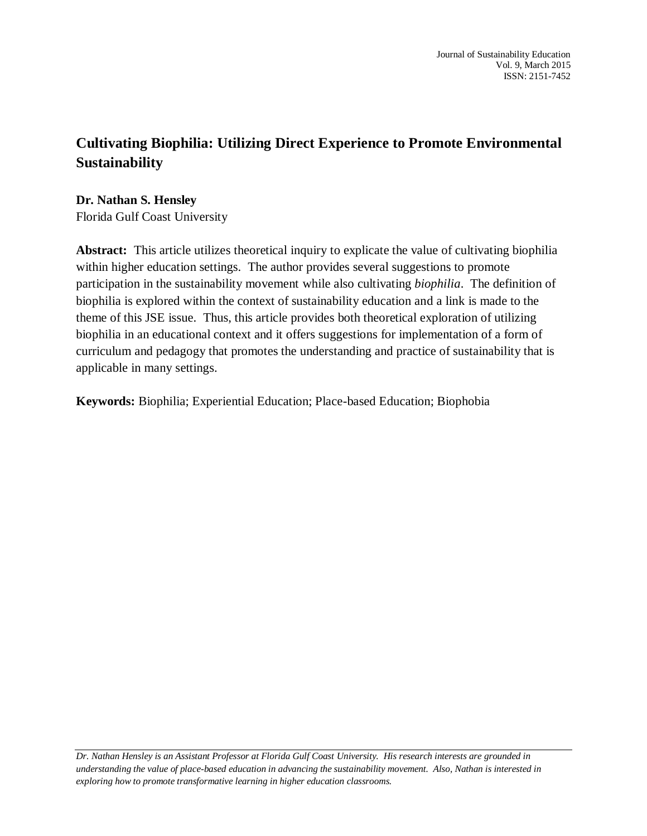# **Cultivating Biophilia: Utilizing Direct Experience to Promote Environmental Sustainability**

# **Dr. Nathan S. Hensley**

Florida Gulf Coast University

**Abstract:** This article utilizes theoretical inquiry to explicate the value of cultivating biophilia within higher education settings. The author provides several suggestions to promote participation in the sustainability movement while also cultivating *biophilia*. The definition of biophilia is explored within the context of sustainability education and a link is made to the theme of this JSE issue. Thus, this article provides both theoretical exploration of utilizing biophilia in an educational context and it offers suggestions for implementation of a form of curriculum and pedagogy that promotes the understanding and practice of sustainability that is applicable in many settings.

**Keywords:** Biophilia; Experiential Education; Place-based Education; Biophobia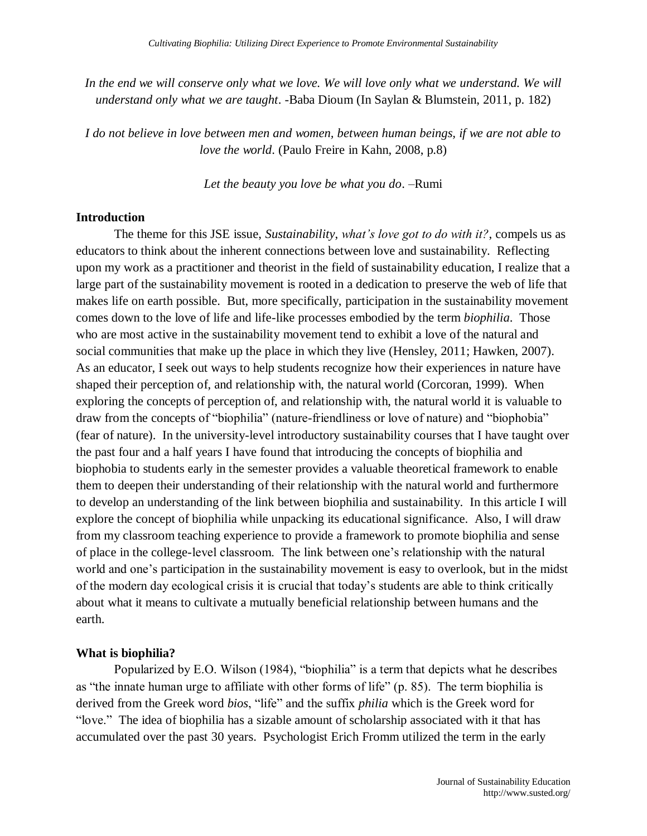In the end we will conserve only what we love. We will love only what we understand. We will *understand only what we are taught*. -Baba Dioum (In Saylan & Blumstein, 2011, p. 182)

*I do not believe in love between men and women, between human beings, if we are not able to love the world*. (Paulo Freire in Kahn, 2008, p.8)

*Let the beauty you love be what you do*. –Rumi

#### **Introduction**

The theme for this JSE issue, *Sustainability*, *what's love got to do with it?*, compels us as educators to think about the inherent connections between love and sustainability. Reflecting upon my work as a practitioner and theorist in the field of sustainability education, I realize that a large part of the sustainability movement is rooted in a dedication to preserve the web of life that makes life on earth possible. But, more specifically, participation in the sustainability movement comes down to the love of life and life-like processes embodied by the term *biophilia*. Those who are most active in the sustainability movement tend to exhibit a love of the natural and social communities that make up the place in which they live (Hensley, 2011; Hawken, 2007). As an educator, I seek out ways to help students recognize how their experiences in nature have shaped their perception of, and relationship with, the natural world (Corcoran, 1999). When exploring the concepts of perception of, and relationship with, the natural world it is valuable to draw from the concepts of "biophilia" (nature-friendliness or love of nature) and "biophobia" (fear of nature). In the university-level introductory sustainability courses that I have taught over the past four and a half years I have found that introducing the concepts of biophilia and biophobia to students early in the semester provides a valuable theoretical framework to enable them to deepen their understanding of their relationship with the natural world and furthermore to develop an understanding of the link between biophilia and sustainability. In this article I will explore the concept of biophilia while unpacking its educational significance. Also, I will draw from my classroom teaching experience to provide a framework to promote biophilia and sense of place in the college-level classroom. The link between one's relationship with the natural world and one's participation in the sustainability movement is easy to overlook, but in the midst of the modern day ecological crisis it is crucial that today's students are able to think critically about what it means to cultivate a mutually beneficial relationship between humans and the earth.

## **What is biophilia?**

Popularized by E.O. Wilson (1984), "biophilia" is a term that depicts what he describes as "the innate human urge to affiliate with other forms of life" (p. 85). The term biophilia is derived from the Greek word *bios*, "life" and the suffix *philia* which is the Greek word for "love." The idea of biophilia has a sizable amount of scholarship associated with it that has accumulated over the past 30 years. Psychologist Erich Fromm utilized the term in the early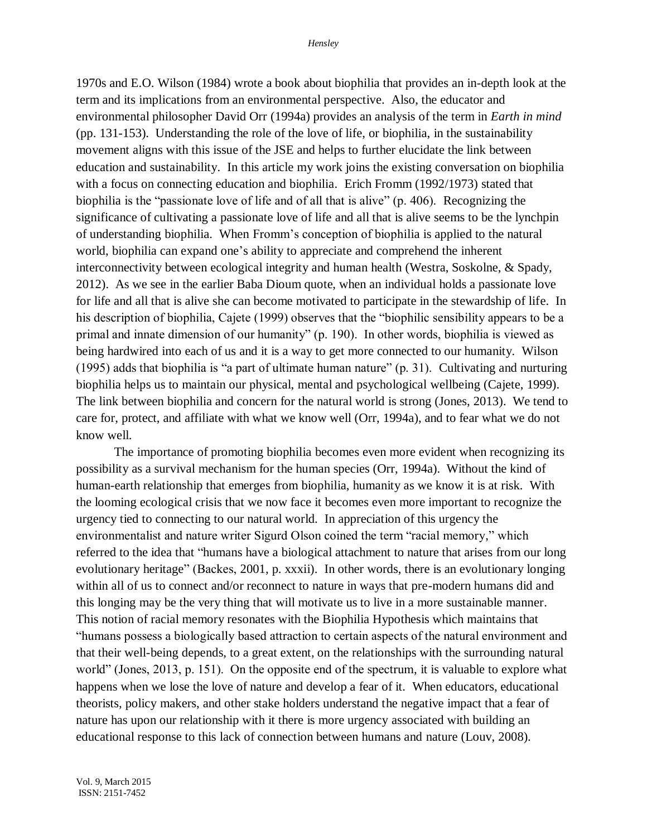1970s and E.O. Wilson (1984) wrote a book about biophilia that provides an in-depth look at the term and its implications from an environmental perspective. Also, the educator and environmental philosopher David Orr (1994a) provides an analysis of the term in *Earth in mind* (pp. 131-153). Understanding the role of the love of life, or biophilia, in the sustainability movement aligns with this issue of the JSE and helps to further elucidate the link between education and sustainability. In this article my work joins the existing conversation on biophilia with a focus on connecting education and biophilia. Erich Fromm (1992/1973) stated that biophilia is the "passionate love of life and of all that is alive" (p. 406). Recognizing the significance of cultivating a passionate love of life and all that is alive seems to be the lynchpin of understanding biophilia. When Fromm's conception of biophilia is applied to the natural world, biophilia can expand one's ability to appreciate and comprehend the inherent interconnectivity between ecological integrity and human health (Westra, Soskolne, & Spady, 2012). As we see in the earlier Baba Dioum quote, when an individual holds a passionate love for life and all that is alive she can become motivated to participate in the stewardship of life. In his description of biophilia, Cajete (1999) observes that the "biophilic sensibility appears to be a primal and innate dimension of our humanity" (p. 190). In other words, biophilia is viewed as being hardwired into each of us and it is a way to get more connected to our humanity. Wilson (1995) adds that biophilia is "a part of ultimate human nature" (p. 31). Cultivating and nurturing biophilia helps us to maintain our physical, mental and psychological wellbeing (Cajete, 1999). The link between biophilia and concern for the natural world is strong (Jones, 2013). We tend to care for, protect, and affiliate with what we know well (Orr, 1994a), and to fear what we do not know well.

The importance of promoting biophilia becomes even more evident when recognizing its possibility as a survival mechanism for the human species (Orr, 1994a). Without the kind of human-earth relationship that emerges from biophilia, humanity as we know it is at risk. With the looming ecological crisis that we now face it becomes even more important to recognize the urgency tied to connecting to our natural world. In appreciation of this urgency the environmentalist and nature writer Sigurd Olson coined the term "racial memory," which referred to the idea that "humans have a biological attachment to nature that arises from our long evolutionary heritage" (Backes, 2001, p. xxxii). In other words, there is an evolutionary longing within all of us to connect and/or reconnect to nature in ways that pre-modern humans did and this longing may be the very thing that will motivate us to live in a more sustainable manner. This notion of racial memory resonates with the Biophilia Hypothesis which maintains that "humans possess a biologically based attraction to certain aspects of the natural environment and that their well-being depends, to a great extent, on the relationships with the surrounding natural world" (Jones, 2013, p. 151). On the opposite end of the spectrum, it is valuable to explore what happens when we lose the love of nature and develop a fear of it. When educators, educational theorists, policy makers, and other stake holders understand the negative impact that a fear of nature has upon our relationship with it there is more urgency associated with building an educational response to this lack of connection between humans and nature (Louv, 2008).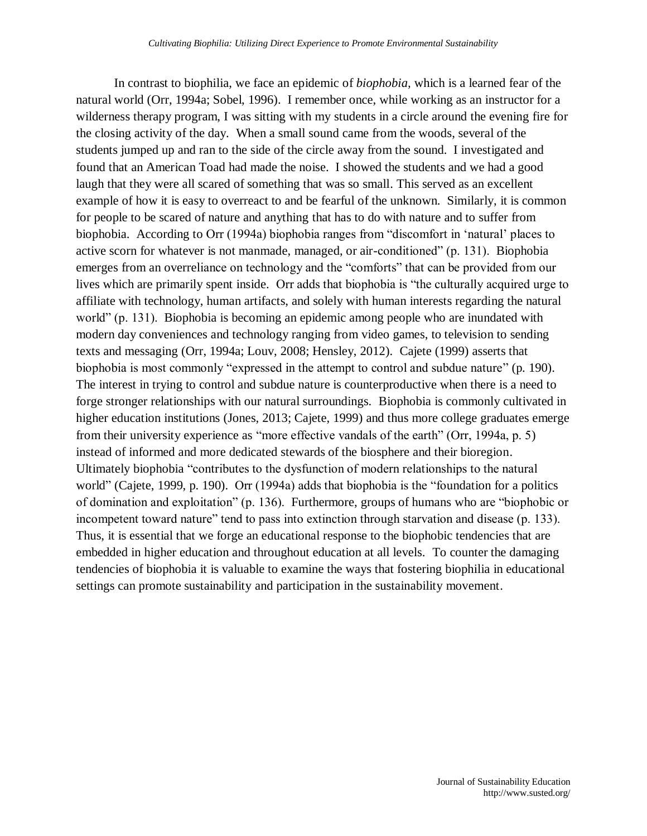In contrast to biophilia, we face an epidemic of *biophobia,* which is a learned fear of the natural world (Orr, 1994a; Sobel, 1996). I remember once, while working as an instructor for a wilderness therapy program, I was sitting with my students in a circle around the evening fire for the closing activity of the day. When a small sound came from the woods, several of the students jumped up and ran to the side of the circle away from the sound. I investigated and found that an American Toad had made the noise. I showed the students and we had a good laugh that they were all scared of something that was so small. This served as an excellent example of how it is easy to overreact to and be fearful of the unknown. Similarly, it is common for people to be scared of nature and anything that has to do with nature and to suffer from biophobia. According to Orr (1994a) biophobia ranges from "discomfort in 'natural' places to active scorn for whatever is not manmade, managed, or air-conditioned" (p. 131). Biophobia emerges from an overreliance on technology and the "comforts" that can be provided from our lives which are primarily spent inside. Orr adds that biophobia is "the culturally acquired urge to affiliate with technology, human artifacts, and solely with human interests regarding the natural world" (p. 131). Biophobia is becoming an epidemic among people who are inundated with modern day conveniences and technology ranging from video games, to television to sending texts and messaging (Orr, 1994a; Louv, 2008; Hensley, 2012). Cajete (1999) asserts that biophobia is most commonly "expressed in the attempt to control and subdue nature" (p. 190). The interest in trying to control and subdue nature is counterproductive when there is a need to forge stronger relationships with our natural surroundings. Biophobia is commonly cultivated in higher education institutions (Jones, 2013; Cajete, 1999) and thus more college graduates emerge from their university experience as "more effective vandals of the earth" (Orr, 1994a, p. 5) instead of informed and more dedicated stewards of the biosphere and their bioregion. Ultimately biophobia "contributes to the dysfunction of modern relationships to the natural world" (Cajete, 1999, p. 190). Orr (1994a) adds that biophobia is the "foundation for a politics of domination and exploitation" (p. 136). Furthermore, groups of humans who are "biophobic or incompetent toward nature" tend to pass into extinction through starvation and disease (p. 133). Thus, it is essential that we forge an educational response to the biophobic tendencies that are embedded in higher education and throughout education at all levels. To counter the damaging tendencies of biophobia it is valuable to examine the ways that fostering biophilia in educational settings can promote sustainability and participation in the sustainability movement.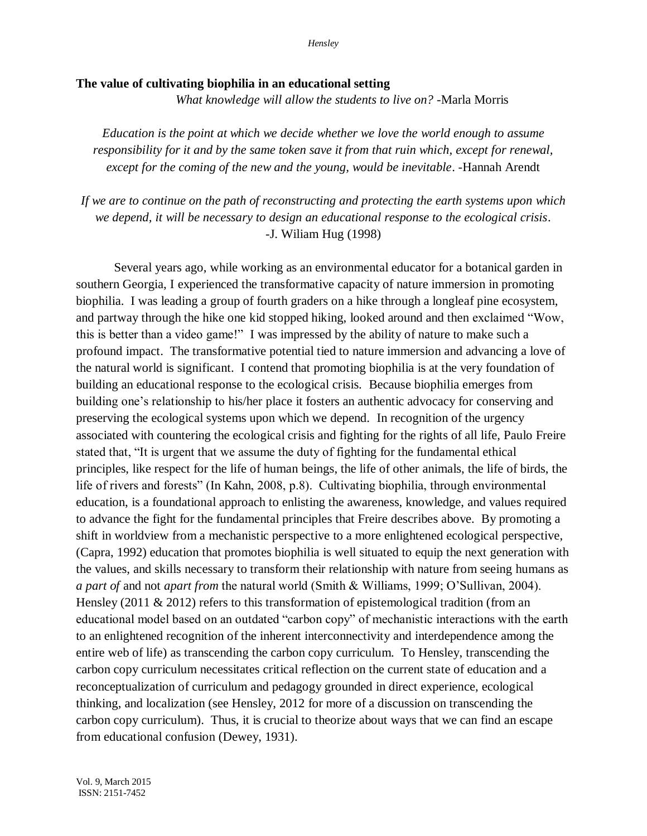#### **The value of cultivating biophilia in an educational setting**

*What knowledge will allow the students to live on?* -Marla Morris

*Education is the point at which we decide whether we love the world enough to assume responsibility for it and by the same token save it from that ruin which, except for renewal, except for the coming of the new and the young, would be inevitable*. -Hannah Arendt

*If we are to continue on the path of reconstructing and protecting the earth systems upon which we depend, it will be necessary to design an educational response to the ecological crisis*. -J. Wiliam Hug (1998)

Several years ago, while working as an environmental educator for a botanical garden in southern Georgia, I experienced the transformative capacity of nature immersion in promoting biophilia. I was leading a group of fourth graders on a hike through a longleaf pine ecosystem, and partway through the hike one kid stopped hiking, looked around and then exclaimed "Wow, this is better than a video game!" I was impressed by the ability of nature to make such a profound impact. The transformative potential tied to nature immersion and advancing a love of the natural world is significant. I contend that promoting biophilia is at the very foundation of building an educational response to the ecological crisis. Because biophilia emerges from building one's relationship to his/her place it fosters an authentic advocacy for conserving and preserving the ecological systems upon which we depend. In recognition of the urgency associated with countering the ecological crisis and fighting for the rights of all life, Paulo Freire stated that, "It is urgent that we assume the duty of fighting for the fundamental ethical principles, like respect for the life of human beings, the life of other animals, the life of birds, the life of rivers and forests" (In Kahn, 2008, p.8). Cultivating biophilia, through environmental education, is a foundational approach to enlisting the awareness, knowledge, and values required to advance the fight for the fundamental principles that Freire describes above. By promoting a shift in worldview from a mechanistic perspective to a more enlightened ecological perspective, (Capra, 1992) education that promotes biophilia is well situated to equip the next generation with the values, and skills necessary to transform their relationship with nature from seeing humans as *a part of* and not *apart from* the natural world (Smith & Williams, 1999; O'Sullivan, 2004). Hensley (2011 & 2012) refers to this transformation of epistemological tradition (from an educational model based on an outdated "carbon copy" of mechanistic interactions with the earth to an enlightened recognition of the inherent interconnectivity and interdependence among the entire web of life) as transcending the carbon copy curriculum. To Hensley, transcending the carbon copy curriculum necessitates critical reflection on the current state of education and a reconceptualization of curriculum and pedagogy grounded in direct experience, ecological thinking, and localization (see Hensley, 2012 for more of a discussion on transcending the carbon copy curriculum). Thus, it is crucial to theorize about ways that we can find an escape from educational confusion (Dewey, 1931).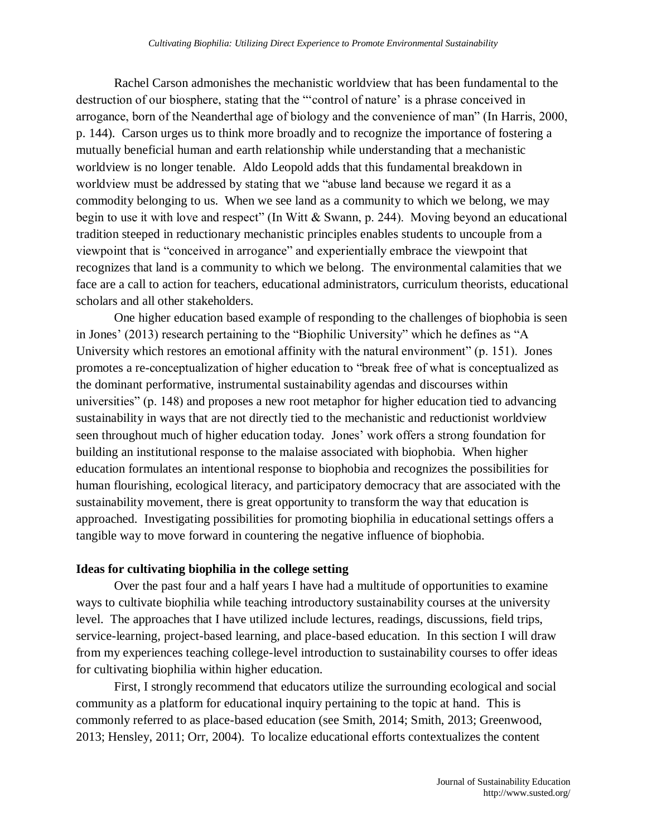Rachel Carson admonishes the mechanistic worldview that has been fundamental to the destruction of our biosphere, stating that the "'control of nature' is a phrase conceived in arrogance, born of the Neanderthal age of biology and the convenience of man" (In Harris, 2000, p. 144). Carson urges us to think more broadly and to recognize the importance of fostering a mutually beneficial human and earth relationship while understanding that a mechanistic worldview is no longer tenable. Aldo Leopold adds that this fundamental breakdown in worldview must be addressed by stating that we "abuse land because we regard it as a commodity belonging to us. When we see land as a community to which we belong, we may begin to use it with love and respect" (In Witt & Swann, p. 244). Moving beyond an educational tradition steeped in reductionary mechanistic principles enables students to uncouple from a viewpoint that is "conceived in arrogance" and experientially embrace the viewpoint that recognizes that land is a community to which we belong. The environmental calamities that we face are a call to action for teachers, educational administrators, curriculum theorists, educational scholars and all other stakeholders.

One higher education based example of responding to the challenges of biophobia is seen in Jones' (2013) research pertaining to the "Biophilic University" which he defines as "A University which restores an emotional affinity with the natural environment" (p. 151). Jones promotes a re-conceptualization of higher education to "break free of what is conceptualized as the dominant performative, instrumental sustainability agendas and discourses within universities" (p. 148) and proposes a new root metaphor for higher education tied to advancing sustainability in ways that are not directly tied to the mechanistic and reductionist worldview seen throughout much of higher education today. Jones' work offers a strong foundation for building an institutional response to the malaise associated with biophobia. When higher education formulates an intentional response to biophobia and recognizes the possibilities for human flourishing, ecological literacy, and participatory democracy that are associated with the sustainability movement, there is great opportunity to transform the way that education is approached. Investigating possibilities for promoting biophilia in educational settings offers a tangible way to move forward in countering the negative influence of biophobia.

## **Ideas for cultivating biophilia in the college setting**

Over the past four and a half years I have had a multitude of opportunities to examine ways to cultivate biophilia while teaching introductory sustainability courses at the university level. The approaches that I have utilized include lectures, readings, discussions, field trips, service-learning, project-based learning, and place-based education. In this section I will draw from my experiences teaching college-level introduction to sustainability courses to offer ideas for cultivating biophilia within higher education.

First, I strongly recommend that educators utilize the surrounding ecological and social community as a platform for educational inquiry pertaining to the topic at hand. This is commonly referred to as place-based education (see Smith, 2014; Smith, 2013; Greenwood, 2013; Hensley, 2011; Orr, 2004). To localize educational efforts contextualizes the content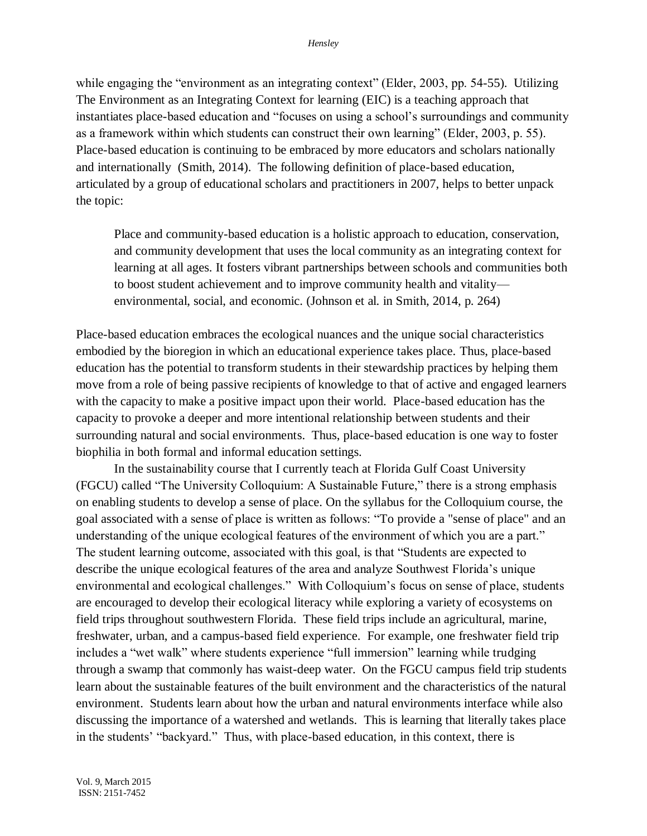while engaging the "environment as an integrating context" (Elder, 2003, pp. 54-55). Utilizing The Environment as an Integrating Context for learning (EIC) is a teaching approach that instantiates place-based education and "focuses on using a school's surroundings and community as a framework within which students can construct their own learning" (Elder, 2003, p. 55). Place-based education is continuing to be embraced by more educators and scholars nationally and internationally (Smith, 2014). The following definition of place-based education, articulated by a group of educational scholars and practitioners in 2007, helps to better unpack the topic:

Place and community-based education is a holistic approach to education, conservation, and community development that uses the local community as an integrating context for learning at all ages. It fosters vibrant partnerships between schools and communities both to boost student achievement and to improve community health and vitality environmental, social, and economic. (Johnson et al. in Smith, 2014, p. 264)

Place-based education embraces the ecological nuances and the unique social characteristics embodied by the bioregion in which an educational experience takes place. Thus, place-based education has the potential to transform students in their stewardship practices by helping them move from a role of being passive recipients of knowledge to that of active and engaged learners with the capacity to make a positive impact upon their world. Place-based education has the capacity to provoke a deeper and more intentional relationship between students and their surrounding natural and social environments. Thus, place-based education is one way to foster biophilia in both formal and informal education settings.

In the sustainability course that I currently teach at Florida Gulf Coast University (FGCU) called "The University Colloquium: A Sustainable Future," there is a strong emphasis on enabling students to develop a sense of place. On the syllabus for the Colloquium course, the goal associated with a sense of place is written as follows: "To provide a "sense of place" and an understanding of the unique ecological features of the environment of which you are a part." The student learning outcome, associated with this goal, is that "Students are expected to describe the unique ecological features of the area and analyze Southwest Florida's unique environmental and ecological challenges." With Colloquium's focus on sense of place, students are encouraged to develop their ecological literacy while exploring a variety of ecosystems on field trips throughout southwestern Florida. These field trips include an agricultural, marine, freshwater, urban, and a campus-based field experience. For example, one freshwater field trip includes a "wet walk" where students experience "full immersion" learning while trudging through a swamp that commonly has waist-deep water. On the FGCU campus field trip students learn about the sustainable features of the built environment and the characteristics of the natural environment. Students learn about how the urban and natural environments interface while also discussing the importance of a watershed and wetlands. This is learning that literally takes place in the students' "backyard." Thus, with place-based education, in this context, there is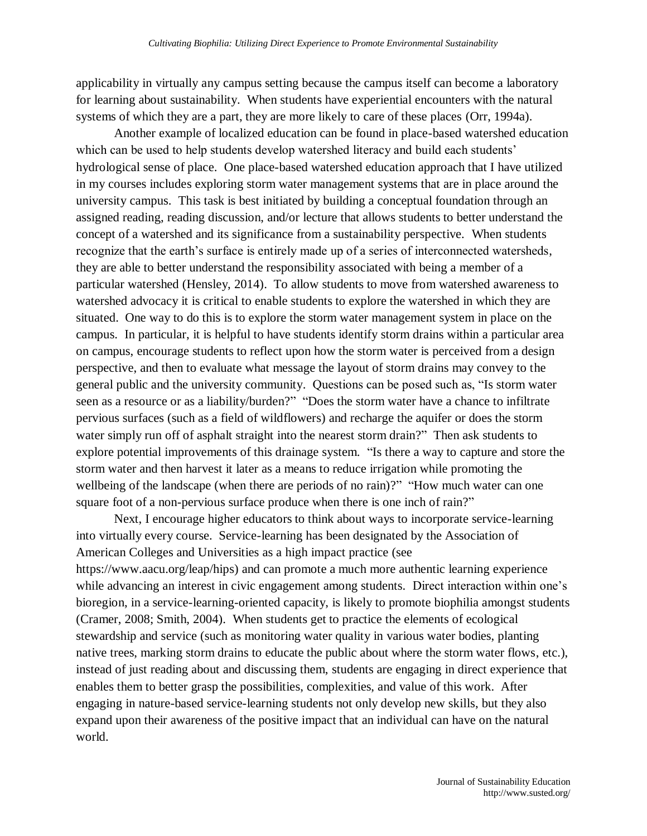applicability in virtually any campus setting because the campus itself can become a laboratory for learning about sustainability. When students have experiential encounters with the natural systems of which they are a part, they are more likely to care of these places (Orr, 1994a).

Another example of localized education can be found in place-based watershed education which can be used to help students develop watershed literacy and build each students' hydrological sense of place. One place-based watershed education approach that I have utilized in my courses includes exploring storm water management systems that are in place around the university campus. This task is best initiated by building a conceptual foundation through an assigned reading, reading discussion, and/or lecture that allows students to better understand the concept of a watershed and its significance from a sustainability perspective. When students recognize that the earth's surface is entirely made up of a series of interconnected watersheds, they are able to better understand the responsibility associated with being a member of a particular watershed (Hensley, 2014). To allow students to move from watershed awareness to watershed advocacy it is critical to enable students to explore the watershed in which they are situated. One way to do this is to explore the storm water management system in place on the campus. In particular, it is helpful to have students identify storm drains within a particular area on campus, encourage students to reflect upon how the storm water is perceived from a design perspective, and then to evaluate what message the layout of storm drains may convey to the general public and the university community. Questions can be posed such as, "Is storm water seen as a resource or as a liability/burden?" "Does the storm water have a chance to infiltrate pervious surfaces (such as a field of wildflowers) and recharge the aquifer or does the storm water simply run off of asphalt straight into the nearest storm drain?" Then ask students to explore potential improvements of this drainage system. "Is there a way to capture and store the storm water and then harvest it later as a means to reduce irrigation while promoting the wellbeing of the landscape (when there are periods of no rain)?" "How much water can one square foot of a non-pervious surface produce when there is one inch of rain?"

Next, I encourage higher educators to think about ways to incorporate service-learning into virtually every course. Service-learning has been designated by the Association of American Colleges and Universities as a high impact practice (see https://www.aacu.org/leap/hips) and can promote a much more authentic learning experience while advancing an interest in civic engagement among students. Direct interaction within one's bioregion, in a service-learning-oriented capacity, is likely to promote biophilia amongst students (Cramer, 2008; Smith, 2004). When students get to practice the elements of ecological stewardship and service (such as monitoring water quality in various water bodies, planting native trees, marking storm drains to educate the public about where the storm water flows, etc.), instead of just reading about and discussing them, students are engaging in direct experience that enables them to better grasp the possibilities, complexities, and value of this work. After engaging in nature-based service-learning students not only develop new skills, but they also expand upon their awareness of the positive impact that an individual can have on the natural world.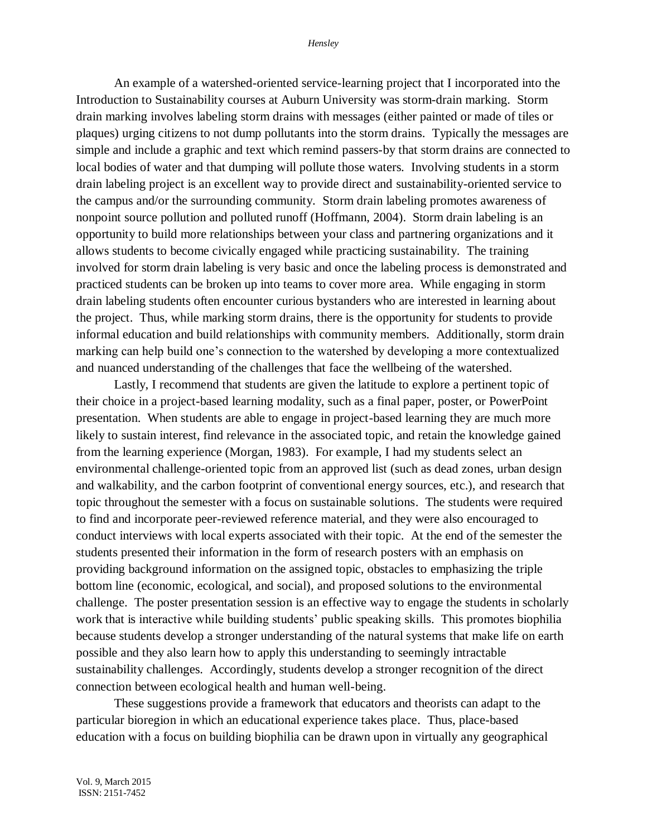An example of a watershed-oriented service-learning project that I incorporated into the Introduction to Sustainability courses at Auburn University was storm-drain marking. Storm drain marking involves labeling storm drains with messages (either painted or made of tiles or plaques) urging citizens to not dump pollutants into the storm drains. Typically the messages are simple and include a graphic and text which remind passers-by that storm drains are connected to local bodies of water and that dumping will pollute those waters. Involving students in a storm drain labeling project is an excellent way to provide direct and sustainability-oriented service to the campus and/or the surrounding community. Storm drain labeling promotes awareness of nonpoint source pollution and polluted runoff (Hoffmann, 2004). Storm drain labeling is an opportunity to build more relationships between your class and partnering organizations and it allows students to become civically engaged while practicing sustainability. The training involved for storm drain labeling is very basic and once the labeling process is demonstrated and practiced students can be broken up into teams to cover more area. While engaging in storm drain labeling students often encounter curious bystanders who are interested in learning about the project. Thus, while marking storm drains, there is the opportunity for students to provide informal education and build relationships with community members. Additionally, storm drain marking can help build one's connection to the watershed by developing a more contextualized and nuanced understanding of the challenges that face the wellbeing of the watershed.

Lastly, I recommend that students are given the latitude to explore a pertinent topic of their choice in a project-based learning modality, such as a final paper, poster, or PowerPoint presentation. When students are able to engage in project-based learning they are much more likely to sustain interest, find relevance in the associated topic, and retain the knowledge gained from the learning experience (Morgan, 1983). For example, I had my students select an environmental challenge-oriented topic from an approved list (such as dead zones, urban design and walkability, and the carbon footprint of conventional energy sources, etc.), and research that topic throughout the semester with a focus on sustainable solutions. The students were required to find and incorporate peer-reviewed reference material, and they were also encouraged to conduct interviews with local experts associated with their topic. At the end of the semester the students presented their information in the form of research posters with an emphasis on providing background information on the assigned topic, obstacles to emphasizing the triple bottom line (economic, ecological, and social), and proposed solutions to the environmental challenge. The poster presentation session is an effective way to engage the students in scholarly work that is interactive while building students' public speaking skills. This promotes biophilia because students develop a stronger understanding of the natural systems that make life on earth possible and they also learn how to apply this understanding to seemingly intractable sustainability challenges. Accordingly, students develop a stronger recognition of the direct connection between ecological health and human well-being.

These suggestions provide a framework that educators and theorists can adapt to the particular bioregion in which an educational experience takes place. Thus, place-based education with a focus on building biophilia can be drawn upon in virtually any geographical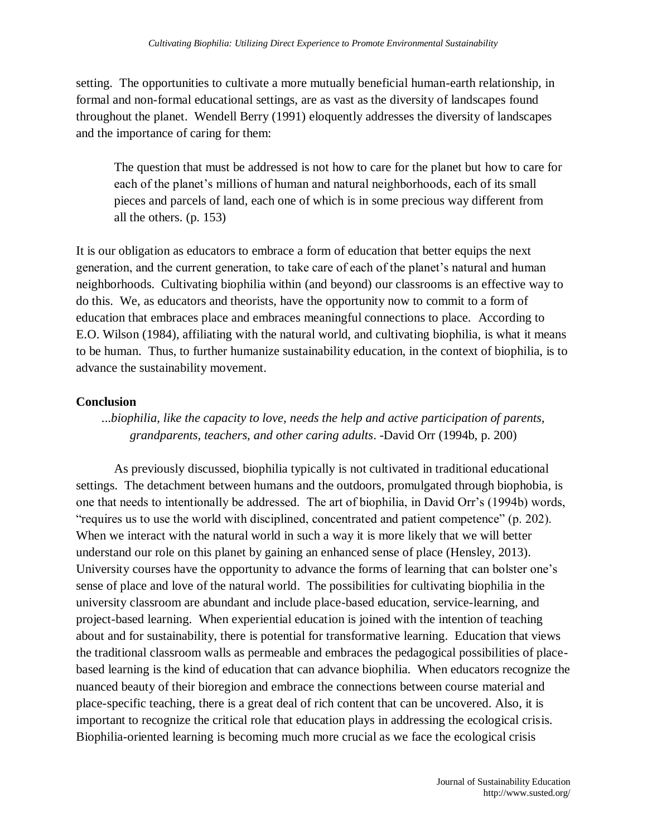setting. The opportunities to cultivate a more mutually beneficial human-earth relationship, in formal and non-formal educational settings, are as vast as the diversity of landscapes found throughout the planet. Wendell Berry (1991) eloquently addresses the diversity of landscapes and the importance of caring for them:

The question that must be addressed is not how to care for the planet but how to care for each of the planet's millions of human and natural neighborhoods, each of its small pieces and parcels of land, each one of which is in some precious way different from all the others. (p. 153)

It is our obligation as educators to embrace a form of education that better equips the next generation, and the current generation, to take care of each of the planet's natural and human neighborhoods. Cultivating biophilia within (and beyond) our classrooms is an effective way to do this. We, as educators and theorists, have the opportunity now to commit to a form of education that embraces place and embraces meaningful connections to place. According to E.O. Wilson (1984), affiliating with the natural world, and cultivating biophilia, is what it means to be human. Thus, to further humanize sustainability education, in the context of biophilia, is to advance the sustainability movement.

#### **Conclusion**

...*biophilia, like the capacity to love, needs the help and active participation of parents, grandparents, teachers, and other caring adults*. -David Orr (1994b, p. 200)

As previously discussed, biophilia typically is not cultivated in traditional educational settings. The detachment between humans and the outdoors, promulgated through biophobia, is one that needs to intentionally be addressed. The art of biophilia, in David Orr's (1994b) words, "requires us to use the world with disciplined, concentrated and patient competence" (p. 202). When we interact with the natural world in such a way it is more likely that we will better understand our role on this planet by gaining an enhanced sense of place (Hensley, 2013). University courses have the opportunity to advance the forms of learning that can bolster one's sense of place and love of the natural world. The possibilities for cultivating biophilia in the university classroom are abundant and include place-based education, service-learning, and project-based learning. When experiential education is joined with the intention of teaching about and for sustainability, there is potential for transformative learning. Education that views the traditional classroom walls as permeable and embraces the pedagogical possibilities of placebased learning is the kind of education that can advance biophilia. When educators recognize the nuanced beauty of their bioregion and embrace the connections between course material and place-specific teaching, there is a great deal of rich content that can be uncovered. Also, it is important to recognize the critical role that education plays in addressing the ecological crisis. Biophilia-oriented learning is becoming much more crucial as we face the ecological crisis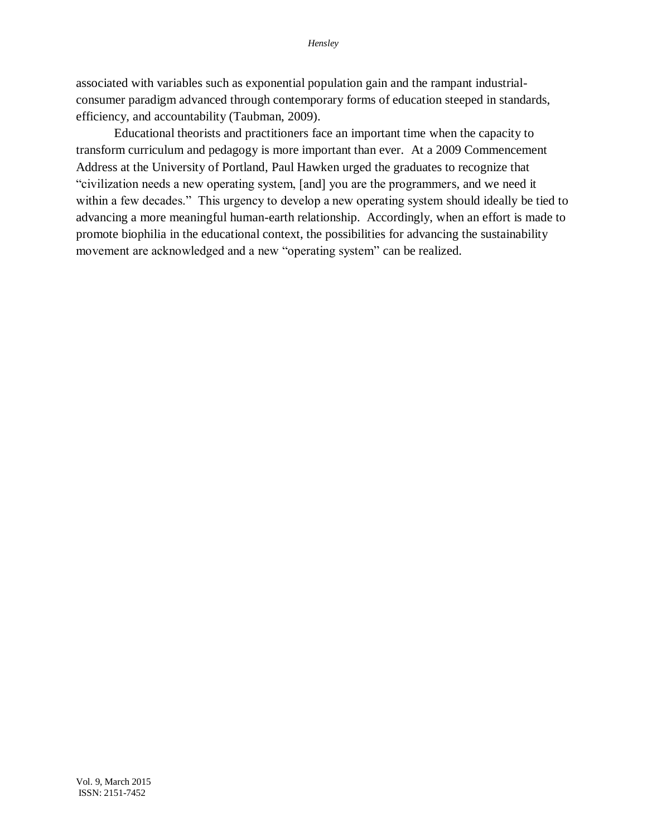associated with variables such as exponential population gain and the rampant industrialconsumer paradigm advanced through contemporary forms of education steeped in standards, efficiency, and accountability (Taubman, 2009).

Educational theorists and practitioners face an important time when the capacity to transform curriculum and pedagogy is more important than ever. At a 2009 Commencement Address at the University of Portland, Paul Hawken urged the graduates to recognize that "civilization needs a new operating system, [and] you are the programmers, and we need it within a few decades." This urgency to develop a new operating system should ideally be tied to advancing a more meaningful human-earth relationship. Accordingly, when an effort is made to promote biophilia in the educational context, the possibilities for advancing the sustainability movement are acknowledged and a new "operating system" can be realized.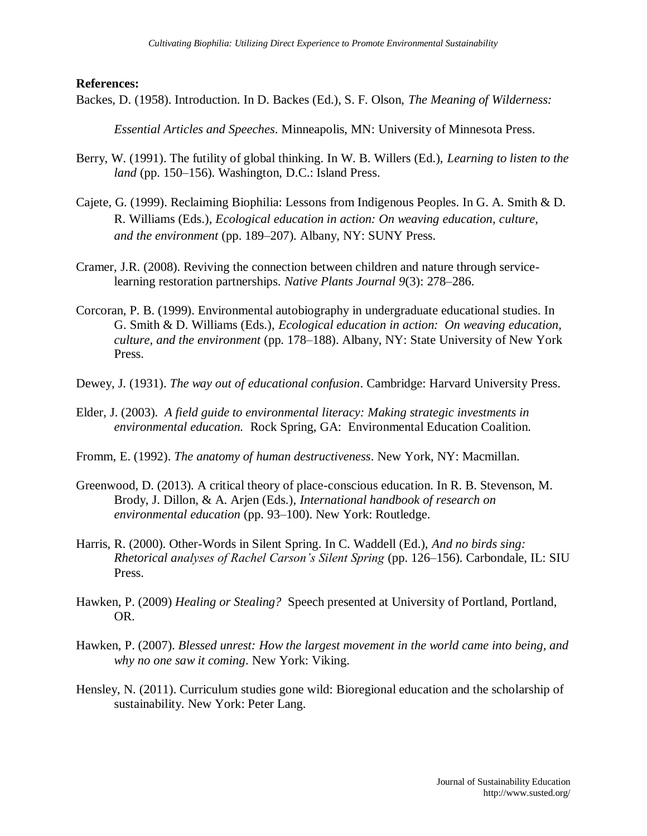#### **References:**

Backes, D. (1958). Introduction. In D. Backes (Ed.), S. F. Olson, *The Meaning of Wilderness:* 

*Essential Articles and Speeches*. Minneapolis, MN: University of Minnesota Press.

- Berry, W. (1991). The futility of global thinking. In W. B. Willers (Ed.), *Learning to listen to the land* (pp. 150–156). Washington, D.C.: Island Press.
- Cajete, G. (1999). Reclaiming Biophilia: Lessons from Indigenous Peoples. In G. A. Smith & D. R. Williams (Eds.), *Ecological education in action: On weaving education, culture, and the environment* (pp. 189–207). Albany, NY: SUNY Press.
- Cramer, J.R. (2008). Reviving the connection between children and nature through servicelearning restoration partnerships. *Native Plants Journal 9*(3): 278–286.
- Corcoran, P. B. (1999). Environmental autobiography in undergraduate educational studies. In G. Smith & D. Williams (Eds.), *Ecological education in action: On weaving education, culture, and the environment* (pp. 178–188). Albany, NY: State University of New York Press.
- Dewey, J. (1931). *The way out of educational confusion*. Cambridge: Harvard University Press.
- Elder, J. (2003). *A field guide to environmental literacy: Making strategic investments in environmental education.* Rock Spring, GA: Environmental Education Coalition.
- Fromm, E. (1992). *The anatomy of human destructiveness*. New York, NY: Macmillan.
- Greenwood, D. (2013). A critical theory of place-conscious education. In R. B. Stevenson, M. Brody, J. Dillon, & A. Arjen (Eds.), *International handbook of research on environmental education* (pp. 93–100). New York: Routledge.
- Harris, R. (2000). Other-Words in Silent Spring. In C. Waddell (Ed.), *And no birds sing: Rhetorical analyses of Rachel Carson's Silent Spring* (pp. 126–156). Carbondale, IL: SIU Press.
- Hawken, P. (2009) *Healing or Stealing?* Speech presented at University of Portland, Portland, OR.
- Hawken, P. (2007). *Blessed unrest: How the largest movement in the world came into being, and why no one saw it coming*. New York: Viking.
- Hensley, N. (2011). Curriculum studies gone wild: Bioregional education and the scholarship of sustainability. New York: Peter Lang.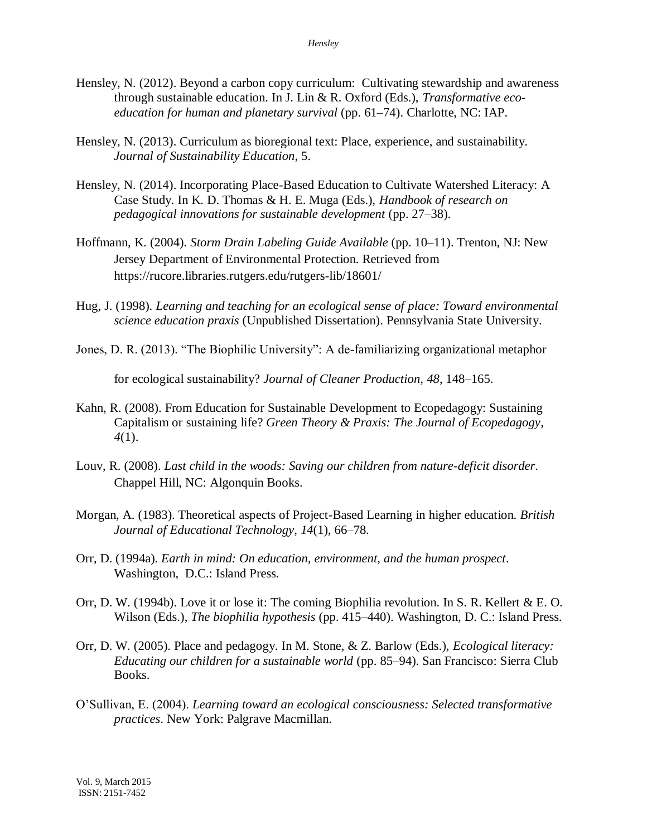- Hensley, N. (2012). Beyond a carbon copy curriculum: Cultivating stewardship and awareness through sustainable education. In J. Lin & R. Oxford (Eds.), *Transformative ecoeducation for human and planetary survival* (pp. 61–74). Charlotte, NC: IAP.
- Hensley, N. (2013). Curriculum as bioregional text: Place, experience, and sustainability. *Journal of Sustainability Education*, 5.
- Hensley, N. (2014). Incorporating Place-Based Education to Cultivate Watershed Literacy: A Case Study. In K. D. Thomas & H. E. Muga (Eds.), *Handbook of research on pedagogical innovations for sustainable development* (pp. 27–38).
- Hoffmann, K. (2004). *Storm Drain Labeling Guide Available* (pp. 10–11). Trenton, NJ: New Jersey Department of Environmental Protection. Retrieved from https://rucore.libraries.rutgers.edu/rutgers-lib/18601/
- Hug, J. (1998). *Learning and teaching for an ecological sense of place: Toward environmental science education praxis* (Unpublished Dissertation). Pennsylvania State University.
- Jones, D. R. (2013). "The Biophilic University": A de-familiarizing organizational metaphor

for ecological sustainability? *Journal of Cleaner Production*, *48*, 148–165.

- Kahn, R. (2008). From Education for Sustainable Development to Ecopedagogy: Sustaining Capitalism or sustaining life? *Green Theory & Praxis: The Journal of Ecopedagogy*, *4*(1).
- Louv, R. (2008). *Last child in the woods: Saving our children from nature-deficit disorder*. Chappel Hill, NC: Algonquin Books.
- Morgan, A. (1983). Theoretical aspects of Project-Based Learning in higher education. *British Journal of Educational Technology*, *14*(1), 66–78.
- Orr, D. (1994a). *Earth in mind: On education, environment, and the human prospect*. Washington, D.C.: Island Press.
- Orr, D. W. (1994b). Love it or lose it: The coming Biophilia revolution. In S. R. Kellert & E. O. Wilson (Eds.), *The biophilia hypothesis* (pp. 415–440). Washington, D. C.: Island Press.
- Orr, D. W. (2005). Place and pedagogy. In M. Stone, & Z. Barlow (Eds.), *Ecological literacy: Educating our children for a sustainable world* (pp. 85–94). San Francisco: Sierra Club Books.
- O'Sullivan, E. (2004). *Learning toward an ecological consciousness: Selected transformative practices*. New York: Palgrave Macmillan.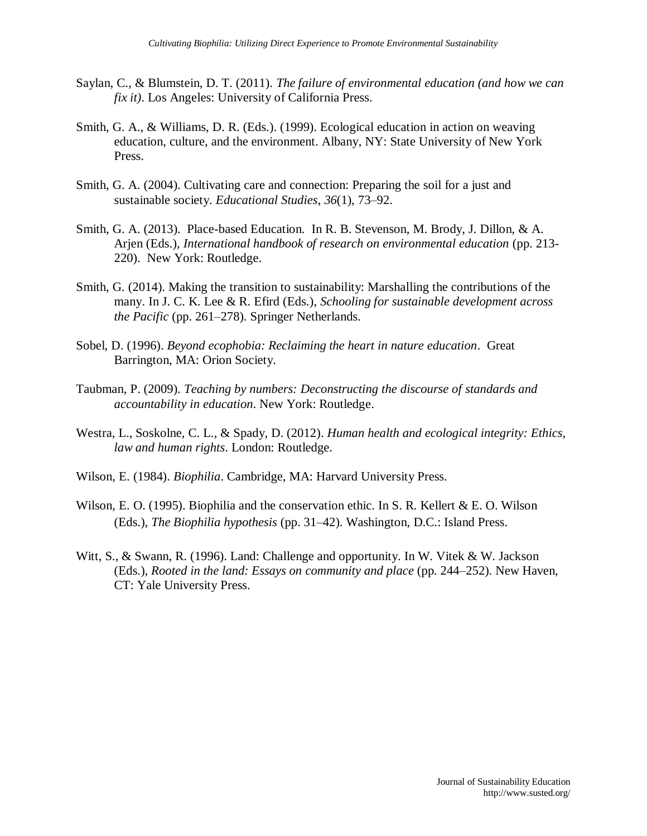- Saylan, C., & Blumstein, D. T. (2011). *The failure of environmental education (and how we can fix it)*. Los Angeles: University of California Press.
- Smith, G. A., & Williams, D. R. (Eds.). (1999). Ecological education in action on weaving education, culture, and the environment. Albany, NY: State University of New York Press.
- Smith, G. A. (2004). Cultivating care and connection: Preparing the soil for a just and sustainable society. *Educational Studies*, *36*(1), 73–92.
- Smith, G. A. (2013). Place-based Education. In R. B. Stevenson, M. Brody, J. Dillon, & A. Arjen (Eds.), *International handbook of research on environmental education* (pp. 213- 220). New York: Routledge.
- Smith, G. (2014). Making the transition to sustainability: Marshalling the contributions of the many. In J. C. K. Lee & R. Efird (Eds.), *Schooling for sustainable development across the Pacific* (pp. 261–278). Springer Netherlands.
- Sobel, D. (1996). *Beyond ecophobia: Reclaiming the heart in nature education*. Great Barrington, MA: Orion Society.
- Taubman, P. (2009). *Teaching by numbers: Deconstructing the discourse of standards and accountability in education*. New York: Routledge.
- Westra, L., Soskolne, C. L., & Spady, D. (2012). *Human health and ecological integrity: Ethics, law and human rights*. London: Routledge.
- Wilson, E. (1984). *Biophilia*. Cambridge, MA: Harvard University Press.
- Wilson, E. O. (1995). Biophilia and the conservation ethic. In S. R. Kellert & E. O. Wilson (Eds.), *The Biophilia hypothesis* (pp. 31–42). Washington, D.C.: Island Press.
- Witt, S., & Swann, R. (1996). Land: Challenge and opportunity. In W. Vitek & W. Jackson (Eds.), *Rooted in the land: Essays on community and place* (pp. 244–252). New Haven, CT: Yale University Press.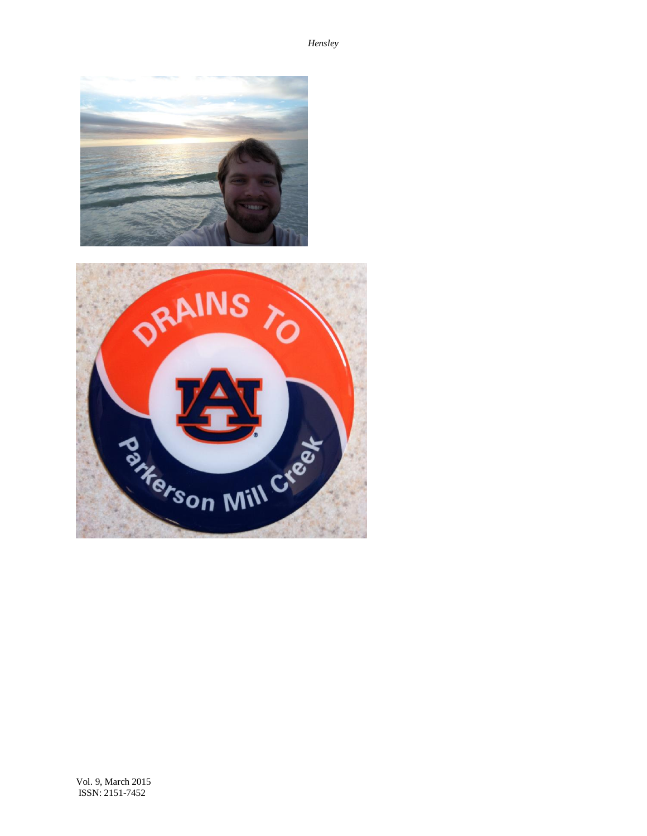